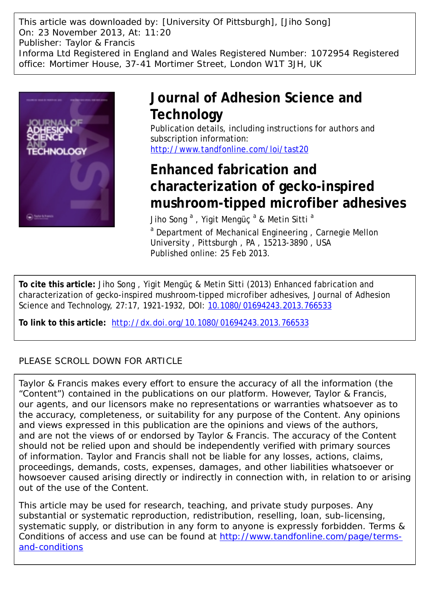This article was downloaded by: [University Of Pittsburgh], [Jiho Song] On: 23 November 2013, At: 11:20 Publisher: Taylor & Francis Informa Ltd Registered in England and Wales Registered Number: 1072954 Registered office: Mortimer House, 37-41 Mortimer Street, London W1T 3JH, UK



## **Journal of Adhesion Science and Technology**

Publication details, including instructions for authors and subscription information: <http://www.tandfonline.com/loi/tast20>

# **Enhanced fabrication and characterization of gecko-inspired mushroom-tipped microfiber adhesives**

Jiho Song  $^{\mathrm{a}}$  , Yigit Mengüç  $^{\mathrm{a}}$  & Metin Sitti  $^{\mathrm{a}}$ <sup>a</sup> Department of Mechanical Engineering, Carnegie Mellon

University , Pittsburgh , PA , 15213-3890 , USA Published online: 25 Feb 2013.

**To cite this article:** Jiho Song , Yigit Mengüç & Metin Sitti (2013) Enhanced fabrication and characterization of gecko-inspired mushroom-tipped microfiber adhesives, Journal of Adhesion Science and Technology, 27:17, 1921-1932, DOI: [10.1080/01694243.2013.766533](http://www.tandfonline.com/action/showCitFormats?doi=10.1080/01694243.2013.766533)

**To link to this article:** <http://dx.doi.org/10.1080/01694243.2013.766533>

## PLEASE SCROLL DOWN FOR ARTICLE

Taylor & Francis makes every effort to ensure the accuracy of all the information (the "Content") contained in the publications on our platform. However, Taylor & Francis, our agents, and our licensors make no representations or warranties whatsoever as to the accuracy, completeness, or suitability for any purpose of the Content. Any opinions and views expressed in this publication are the opinions and views of the authors, and are not the views of or endorsed by Taylor & Francis. The accuracy of the Content should not be relied upon and should be independently verified with primary sources of information. Taylor and Francis shall not be liable for any losses, actions, claims, proceedings, demands, costs, expenses, damages, and other liabilities whatsoever or howsoever caused arising directly or indirectly in connection with, in relation to or arising out of the use of the Content.

This article may be used for research, teaching, and private study purposes. Any substantial or systematic reproduction, redistribution, reselling, loan, sub-licensing, systematic supply, or distribution in any form to anyone is expressly forbidden. Terms & Conditions of access and use can be found at [http://www.tandfonline.com/page/terms](http://www.tandfonline.com/page/terms-and-conditions)[and-conditions](http://www.tandfonline.com/page/terms-and-conditions)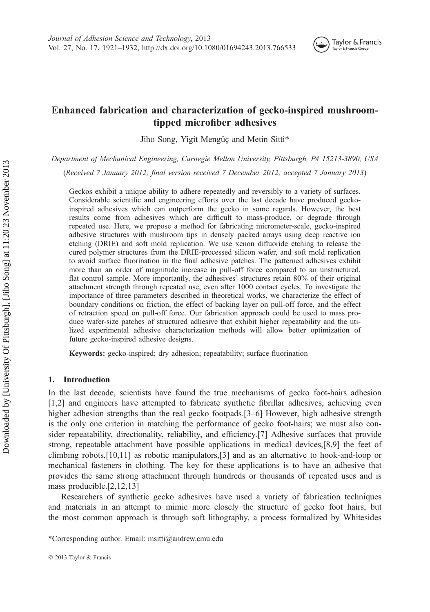

### Enhanced fabrication and characterization of gecko-inspired mushroomtipped microfiber adhesives

Jiho Song, Yigit Mengüç and Metin Sitti\*

Department of Mechanical Engineering, Carnegie Mellon University, Pittsburgh, PA 15213-3890, USA

(Received 7 January 2012; final version received 7 December 2012; accepted 7 January 2013)

Geckos exhibit a unique ability to adhere repeatedly and reversibly to a variety of surfaces. Considerable scientific and engineering efforts over the last decade have produced geckoinspired adhesives which can outperform the gecko in some regards. However, the best results come from adhesives which are difficult to mass-produce, or degrade through repeated use. Here, we propose a method for fabricating micrometer-scale, gecko-inspired adhesive structures with mushroom tips in densely packed arrays using deep reactive ion etching (DRIE) and soft mold replication. We use xenon difluoride etching to release the cured polymer structures from the DRIE-processed silicon wafer, and soft mold replication to avoid surface fluorination in the final adhesive patches. The patterned adhesives exhibit more than an order of magnitude increase in pull-off force compared to an unstructured, flat control sample. More importantly, the adhesives' structures retain 80% of their original attachment strength through repeated use, even after 1000 contact cycles. To investigate the importance of three parameters described in theoretical works, we characterize the effect of boundary conditions on friction, the effect of backing layer on pull-off force, and the effect of retraction speed on pull-off force. Our fabrication approach could be used to mass produce wafer-size patches of structured adhesive that exhibit higher repeatability and the utilized experimental adhesive characterization methods will allow better optimization of future gecko-inspired adhesive designs.

Keywords: gecko-inspired; dry adhesion; repeatability; surface fluorination

#### 1. Introduction

In the last decade, scientists have found the true mechanisms of gecko foot-hairs adhesion [1,2] and engineers have attempted to fabricate synthetic fibrillar adhesives, achieving even higher adhesion strengths than the real gecko footpads.[3–6] However, high adhesive strength is the only one criterion in matching the performance of gecko foot-hairs; we must also consider repeatability, directionality, reliability, and efficiency.[7] Adhesive surfaces that provide strong, repeatable attachment have possible applications in medical devices,[8,9] the feet of climbing robots,[10,11] as robotic manipulators,[3] and as an alternative to hook-and-loop or mechanical fasteners in clothing. The key for these applications is to have an adhesive that provides the same strong attachment through hundreds or thousands of repeated uses and is mass producible.[2,12,13]

Researchers of synthetic gecko adhesives have used a variety of fabrication techniques and materials in an attempt to mimic more closely the structure of gecko foot hairs, but the most common approach is through soft lithography, a process formalized by Whitesides

<sup>\*</sup>Corresponding author. Email: msitti@andrew.cmu.edu

2013 Taylor & Francis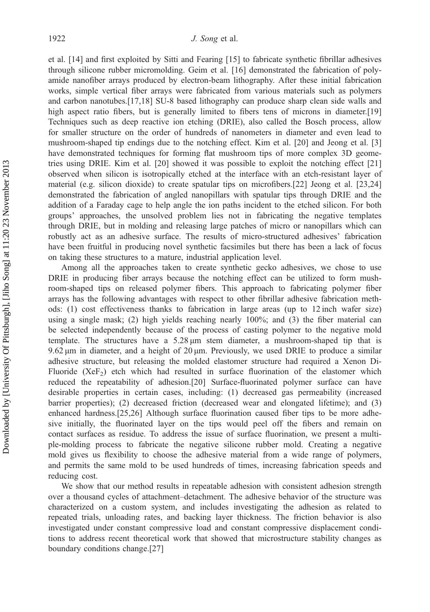et al. [14] and first exploited by Sitti and Fearing [15] to fabricate synthetic fibrillar adhesives through silicone rubber micromolding. Geim et al. [16] demonstrated the fabrication of polyamide nanofiber arrays produced by electron-beam lithography. After these initial fabrication works, simple vertical fiber arrays were fabricated from various materials such as polymers and carbon nanotubes.[17,18] SU-8 based lithography can produce sharp clean side walls and high aspect ratio fibers, but is generally limited to fibers tens of microns in diameter.<sup>[19]</sup> Techniques such as deep reactive ion etching (DRIE), also called the Bosch process, allow for smaller structure on the order of hundreds of nanometers in diameter and even lead to mushroom-shaped tip endings due to the notching effect. Kim et al. [20] and Jeong et al. [3] have demonstrated techniques for forming flat mushroom tips of more complex 3D geometries using DRIE. Kim et al. [20] showed it was possible to exploit the notching effect [21] observed when silicon is isotropically etched at the interface with an etch-resistant layer of material (e.g. silicon dioxide) to create spatular tips on microfibers.[22] Jeong et al. [23,24] demonstrated the fabrication of angled nanopillars with spatular tips through DRIE and the addition of a Faraday cage to help angle the ion paths incident to the etched silicon. For both groups' approaches, the unsolved problem lies not in fabricating the negative templates through DRIE, but in molding and releasing large patches of micro or nanopillars which can robustly act as an adhesive surface. The results of micro-structured adhesives' fabrication have been fruitful in producing novel synthetic facsimiles but there has been a lack of focus on taking these structures to a mature, industrial application level.

Among all the approaches taken to create synthetic gecko adhesives, we chose to use DRIE in producing fiber arrays because the notching effect can be utilized to form mushroom-shaped tips on released polymer fibers. This approach to fabricating polymer fiber arrays has the following advantages with respect to other fibrillar adhesive fabrication methods: (1) cost effectiveness thanks to fabrication in large areas (up to 12 inch wafer size) using a single mask; (2) high yields reaching nearly 100%; and (3) the fiber material can be selected independently because of the process of casting polymer to the negative mold template. The structures have a 5.28 μm stem diameter, a mushroom-shaped tip that is 9.62 μm in diameter, and a height of 20 μm. Previously, we used DRIE to produce a similar adhesive structure, but releasing the molded elastomer structure had required a Xenon Di-Fluoride ( $XeF_2$ ) etch which had resulted in surface fluorination of the elastomer which reduced the repeatability of adhesion.[20] Surface-fluorinated polymer surface can have desirable properties in certain cases, including: (1) decreased gas permeability (increased barrier properties); (2) decreased friction (decreased wear and elongated lifetime); and (3) enhanced hardness.[25,26] Although surface fluorination caused fiber tips to be more adhesive initially, the fluorinated layer on the tips would peel off the fibers and remain on contact surfaces as residue. To address the issue of surface fluorination, we present a multiple-molding process to fabricate the negative silicone rubber mold. Creating a negative mold gives us flexibility to choose the adhesive material from a wide range of polymers, and permits the same mold to be used hundreds of times, increasing fabrication speeds and reducing cost.

We show that our method results in repeatable adhesion with consistent adhesion strength over a thousand cycles of attachment–detachment. The adhesive behavior of the structure was characterized on a custom system, and includes investigating the adhesion as related to repeated trials, unloading rates, and backing layer thickness. The friction behavior is also investigated under constant compressive load and constant compressive displacement conditions to address recent theoretical work that showed that microstructure stability changes as boundary conditions change.[27]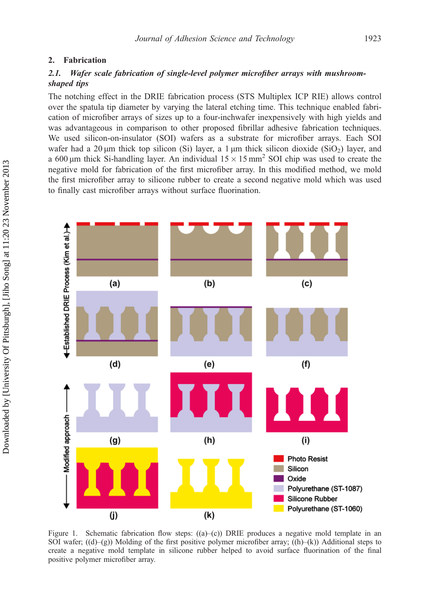#### 2. Fabrication

### 2.1. Wafer scale fabrication of single-level polymer microfiber arrays with mushroomshaped tips

The notching effect in the DRIE fabrication process (STS Multiplex ICP RIE) allows control over the spatula tip diameter by varying the lateral etching time. This technique enabled fabrication of microfiber arrays of sizes up to a four-inchwafer inexpensively with high yields and was advantageous in comparison to other proposed fibrillar adhesive fabrication techniques. We used silicon-on-insulator (SOI) wafers as a substrate for microfiber arrays. Each SOI wafer had a 20  $\mu$ m thick top silicon (Si) layer, a 1  $\mu$ m thick silicon dioxide (SiO<sub>2</sub>) layer, and a 600 μm thick Si-handling layer. An individual  $15 \times 15$  mm<sup>2</sup> SOI chip was used to create the negative mold for fabrication of the first microfiber array. In this modified method, we mold the first microfiber array to silicone rubber to create a second negative mold which was used to finally cast microfiber arrays without surface fluorination.



Figure 1. Schematic fabrication flow steps:  $((a)$ –(c)) DRIE produces a negative mold template in an SOI wafer;  $((d)–(g))$  Molding of the first positive polymer microfiber array;  $((h)–(k))$  Additional steps to create a negative mold template in silicone rubber helped to avoid surface fluorination of the final positive polymer microfiber array.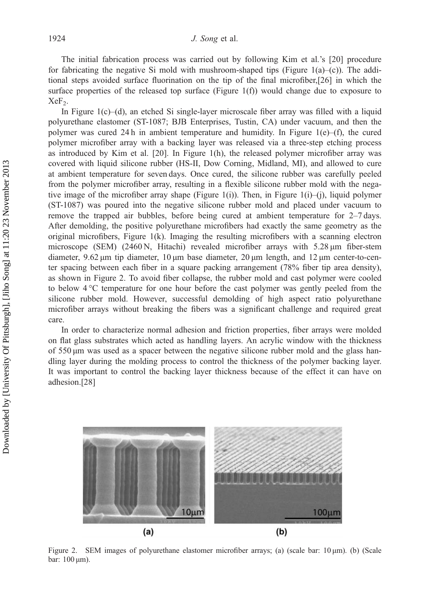The initial fabrication process was carried out by following Kim et al.'s [20] procedure for fabricating the negative Si mold with mushroom-shaped tips (Figure 1(a)–(c)). The additional steps avoided surface fluorination on the tip of the final microfiber,[26] in which the surface properties of the released top surface (Figure 1(f)) would change due to exposure to  $XeF<sub>2</sub>$ .

In Figure  $1(c)$ –(d), an etched Si single-layer microscale fiber array was filled with a liquid polyurethane elastomer (ST-1087; BJB Enterprises, Tustin, CA) under vacuum, and then the polymer was cured 24h in ambient temperature and humidity. In Figure 1(e)–(f), the cured polymer microfiber array with a backing layer was released via a three-step etching process as introduced by Kim et al. [20]. In Figure 1(h), the released polymer microfiber array was covered with liquid silicone rubber (HS-II, Dow Corning, Midland, MI), and allowed to cure at ambient temperature for seven days. Once cured, the silicone rubber was carefully peeled from the polymer microfiber array, resulting in a flexible silicone rubber mold with the negative image of the microfiber array shape (Figure 1(i)). Then, in Figure 1(i)–(j), liquid polymer (ST-1087) was poured into the negative silicone rubber mold and placed under vacuum to remove the trapped air bubbles, before being cured at ambient temperature for 2–7 days. After demolding, the positive polyurethane microfibers had exactly the same geometry as the original microfibers, Figure  $1(k)$ . Imaging the resulting microfibers with a scanning electron microscope (SEM) (2460 N, Hitachi) revealed microfiber arrays with 5.28 μm fiber-stem diameter, 9.62 μm tip diameter, 10 μm base diameter, 20 μm length, and 12 μm center-to-center spacing between each fiber in a square packing arrangement (78% fiber tip area density), as shown in Figure 2. To avoid fiber collapse, the rubber mold and cast polymer were cooled to below 4 °C temperature for one hour before the cast polymer was gently peeled from the silicone rubber mold. However, successful demolding of high aspect ratio polyurethane microfiber arrays without breaking the fibers was a significant challenge and required great care.

In order to characterize normal adhesion and friction properties, fiber arrays were molded on flat glass substrates which acted as handling layers. An acrylic window with the thickness of 550 μm was used as a spacer between the negative silicone rubber mold and the glass handling layer during the molding process to control the thickness of the polymer backing layer. It was important to control the backing layer thickness because of the effect it can have on adhesion.[28]



Figure 2. SEM images of polyurethane elastomer microfiber arrays; (a) (scale bar: 10 μm). (b) (Scale bar: 100 μm).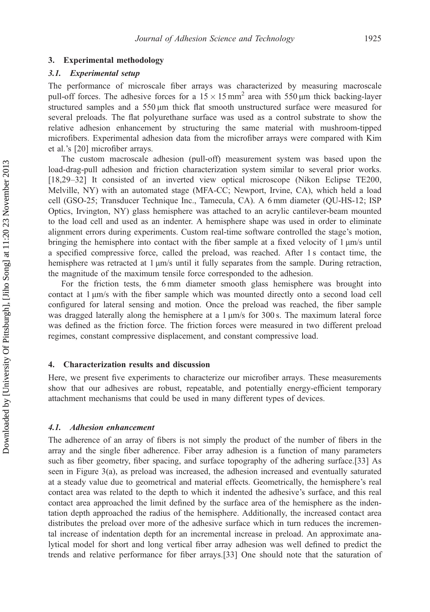#### 3. Experimental methodology

#### 3.1. Experimental setup

The performance of microscale fiber arrays was characterized by measuring macroscale pull-off forces. The adhesive forces for a  $15 \times 15$  mm<sup>2</sup> area with 550 µm thick backing-layer structured samples and a 550 μm thick flat smooth unstructured surface were measured for several preloads. The flat polyurethane surface was used as a control substrate to show the relative adhesion enhancement by structuring the same material with mushroom-tipped microfibers. Experimental adhesion data from the microfiber arrays were compared with Kim et al.'s [20] microfiber arrays.

The custom macroscale adhesion (pull-off) measurement system was based upon the load-drag-pull adhesion and friction characterization system similar to several prior works. [18,29–32] It consisted of an inverted view optical microscope (Nikon Eclipse TE200, Melville, NY) with an automated stage (MFA-CC; Newport, Irvine, CA), which held a load cell (GSO-25; Transducer Technique Inc., Tamecula, CA). A 6 mm diameter (QU-HS-12; ISP Optics, Irvington, NY) glass hemisphere was attached to an acrylic cantilever-beam mounted to the load cell and used as an indenter. A hemisphere shape was used in order to eliminate alignment errors during experiments. Custom real-time software controlled the stage's motion, bringing the hemisphere into contact with the fiber sample at a fixed velocity of 1 μm/s until a specified compressive force, called the preload, was reached. After 1 s contact time, the hemisphere was retracted at 1 μm/s until it fully separates from the sample. During retraction, the magnitude of the maximum tensile force corresponded to the adhesion.

For the friction tests, the 6 mm diameter smooth glass hemisphere was brought into contact at 1 μm/s with the fiber sample which was mounted directly onto a second load cell configured for lateral sensing and motion. Once the preload was reached, the fiber sample was dragged laterally along the hemisphere at a 1 μm/s for 300 s. The maximum lateral force was defined as the friction force. The friction forces were measured in two different preload regimes, constant compressive displacement, and constant compressive load.

#### 4. Characterization results and discussion

Here, we present five experiments to characterize our microfiber arrays. These measurements show that our adhesives are robust, repeatable, and potentially energy-efficient temporary attachment mechanisms that could be used in many different types of devices.

#### 4.1. Adhesion enhancement

The adherence of an array of fibers is not simply the product of the number of fibers in the array and the single fiber adherence. Fiber array adhesion is a function of many parameters such as fiber geometry, fiber spacing, and surface topography of the adhering surface.[33] As seen in Figure 3(a), as preload was increased, the adhesion increased and eventually saturated at a steady value due to geometrical and material effects. Geometrically, the hemisphere's real contact area was related to the depth to which it indented the adhesive's surface, and this real contact area approached the limit defined by the surface area of the hemisphere as the indentation depth approached the radius of the hemisphere. Additionally, the increased contact area distributes the preload over more of the adhesive surface which in turn reduces the incremental increase of indentation depth for an incremental increase in preload. An approximate analytical model for short and long vertical fiber array adhesion was well defined to predict the trends and relative performance for fiber arrays.[33] One should note that the saturation of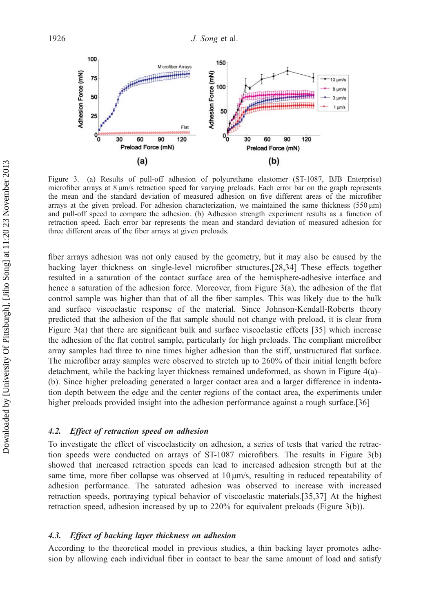

Figure 3. (a) Results of pull-off adhesion of polyurethane elastomer (ST-1087, BJB Enterprise) microfiber arrays at 8 μm/s retraction speed for varying preloads. Each error bar on the graph represents the mean and the standard deviation of measured adhesion on five different areas of the microfiber arrays at the given preload. For adhesion characterization, we maintained the same thickness  $(550 \,\mu m)$ and pull-off speed to compare the adhesion. (b) Adhesion strength experiment results as a function of retraction speed. Each error bar represents the mean and standard deviation of measured adhesion for three different areas of the fiber arrays at given preloads.

fiber arrays adhesion was not only caused by the geometry, but it may also be caused by the backing layer thickness on single-level microfiber structures.[28,34] These effects together resulted in a saturation of the contact surface area of the hemisphere-adhesive interface and hence a saturation of the adhesion force. Moreover, from Figure 3(a), the adhesion of the flat control sample was higher than that of all the fiber samples. This was likely due to the bulk and surface viscoelastic response of the material. Since Johnson-Kendall-Roberts theory predicted that the adhesion of the flat sample should not change with preload, it is clear from Figure 3(a) that there are significant bulk and surface viscoelastic effects [35] which increase the adhesion of the flat control sample, particularly for high preloads. The compliant microfiber array samples had three to nine times higher adhesion than the stiff, unstructured flat surface. The microfiber array samples were observed to stretch up to 260% of their initial length before detachment, while the backing layer thickness remained undeformed, as shown in Figure 4(a)– (b). Since higher preloading generated a larger contact area and a larger difference in indentation depth between the edge and the center regions of the contact area, the experiments under higher preloads provided insight into the adhesion performance against a rough surface.[36]

#### 4.2. Effect of retraction speed on adhesion

To investigate the effect of viscoelasticity on adhesion, a series of tests that varied the retraction speeds were conducted on arrays of ST-1087 microfibers. The results in Figure 3(b) showed that increased retraction speeds can lead to increased adhesion strength but at the same time, more fiber collapse was observed at 10 μm/s, resulting in reduced repeatability of adhesion performance. The saturated adhesion was observed to increase with increased retraction speeds, portraying typical behavior of viscoelastic materials.[35,37] At the highest retraction speed, adhesion increased by up to 220% for equivalent preloads (Figure 3(b)).

#### 4.3. Effect of backing layer thickness on adhesion

According to the theoretical model in previous studies, a thin backing layer promotes adhesion by allowing each individual fiber in contact to bear the same amount of load and satisfy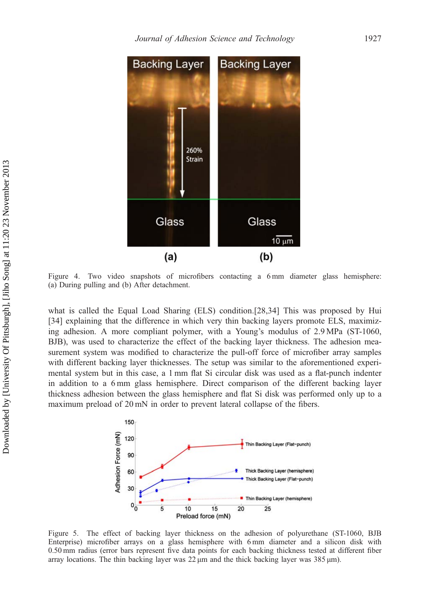

Figure 4. Two video snapshots of microfibers contacting a 6 mm diameter glass hemisphere: (a) During pulling and (b) After detachment.

what is called the Equal Load Sharing (ELS) condition.[28,34] This was proposed by Hui [34] explaining that the difference in which very thin backing layers promote ELS, maximizing adhesion. A more compliant polymer, with a Young's modulus of 2.9 MPa (ST-1060, BJB), was used to characterize the effect of the backing layer thickness. The adhesion measurement system was modified to characterize the pull-off force of microfiber array samples with different backing layer thicknesses. The setup was similar to the aforementioned experimental system but in this case, a 1 mm flat Si circular disk was used as a flat-punch indenter in addition to a 6 mm glass hemisphere. Direct comparison of the different backing layer thickness adhesion between the glass hemisphere and flat Si disk was performed only up to a maximum preload of 20 mN in order to prevent lateral collapse of the fibers.



Figure 5. The effect of backing layer thickness on the adhesion of polyurethane (ST-1060, BJB Enterprise) microfiber arrays on a glass hemisphere with 6 mm diameter and a silicon disk with 0.50 mm radius (error bars represent five data points for each backing thickness tested at different fiber array locations. The thin backing layer was 22 μm and the thick backing layer was 385 μm).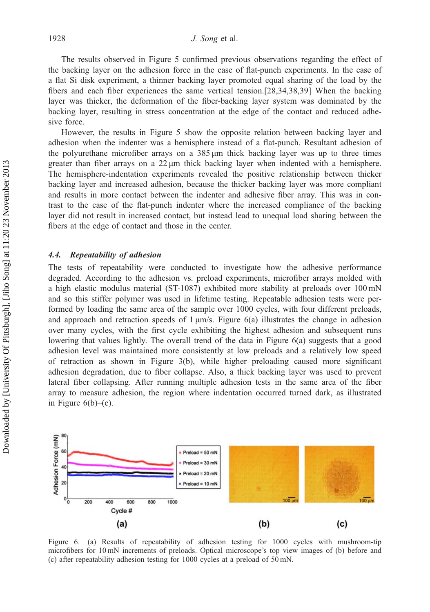The results observed in Figure 5 confirmed previous observations regarding the effect of the backing layer on the adhesion force in the case of flat-punch experiments. In the case of a flat Si disk experiment, a thinner backing layer promoted equal sharing of the load by the fibers and each fiber experiences the same vertical tension.[28,34,38,39] When the backing layer was thicker, the deformation of the fiber-backing layer system was dominated by the backing layer, resulting in stress concentration at the edge of the contact and reduced adhesive force.

However, the results in Figure 5 show the opposite relation between backing layer and adhesion when the indenter was a hemisphere instead of a flat-punch. Resultant adhesion of the polyurethane microfiber arrays on a 385 μm thick backing layer was up to three times greater than fiber arrays on a 22 μm thick backing layer when indented with a hemisphere. The hemisphere-indentation experiments revealed the positive relationship between thicker backing layer and increased adhesion, because the thicker backing layer was more compliant and results in more contact between the indenter and adhesive fiber array. This was in contrast to the case of the flat-punch indenter where the increased compliance of the backing layer did not result in increased contact, but instead lead to unequal load sharing between the fibers at the edge of contact and those in the center.

#### 4.4. Repeatability of adhesion

The tests of repeatability were conducted to investigate how the adhesive performance degraded. According to the adhesion vs. preload experiments, microfiber arrays molded with a high elastic modulus material (ST-1087) exhibited more stability at preloads over 100 mN and so this stiffer polymer was used in lifetime testing. Repeatable adhesion tests were performed by loading the same area of the sample over 1000 cycles, with four different preloads, and approach and retraction speeds of  $1 \mu m/s$ . Figure 6(a) illustrates the change in adhesion over many cycles, with the first cycle exhibiting the highest adhesion and subsequent runs lowering that values lightly. The overall trend of the data in Figure 6(a) suggests that a good adhesion level was maintained more consistently at low preloads and a relatively low speed of retraction as shown in Figure 3(b), while higher preloading caused more significant adhesion degradation, due to fiber collapse. Also, a thick backing layer was used to prevent lateral fiber collapsing. After running multiple adhesion tests in the same area of the fiber array to measure adhesion, the region where indentation occurred turned dark, as illustrated in Figure  $6(b)$ – $(c)$ .



Figure 6. (a) Results of repeatability of adhesion testing for 1000 cycles with mushroom-tip microfibers for 10 mN increments of preloads. Optical microscope's top view images of (b) before and (c) after repeatability adhesion testing for 1000 cycles at a preload of 50 mN.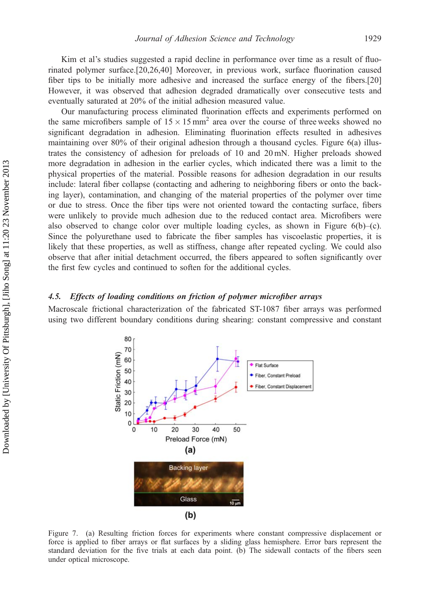Kim et al's studies suggested a rapid decline in performance over time as a result of fluorinated polymer surface.[20,26,40] Moreover, in previous work, surface fluorination caused fiber tips to be initially more adhesive and increased the surface energy of the fibers.[20] However, it was observed that adhesion degraded dramatically over consecutive tests and eventually saturated at 20% of the initial adhesion measured value.

Our manufacturing process eliminated fluorination effects and experiments performed on the same microfibers sample of  $15 \times 15$  mm<sup>2</sup> area over the course of three weeks showed no significant degradation in adhesion. Eliminating fluorination effects resulted in adhesives maintaining over 80% of their original adhesion through a thousand cycles. Figure 6(a) illustrates the consistency of adhesion for preloads of 10 and 20 mN. Higher preloads showed more degradation in adhesion in the earlier cycles, which indicated there was a limit to the physical properties of the material. Possible reasons for adhesion degradation in our results include: lateral fiber collapse (contacting and adhering to neighboring fibers or onto the backing layer), contamination, and changing of the material properties of the polymer over time or due to stress. Once the fiber tips were not oriented toward the contacting surface, fibers were unlikely to provide much adhesion due to the reduced contact area. Microfibers were also observed to change color over multiple loading cycles, as shown in Figure  $6(b)$ –(c). Since the polyurethane used to fabricate the fiber samples has viscoelastic properties, it is likely that these properties, as well as stiffness, change after repeated cycling. We could also observe that after initial detachment occurred, the fibers appeared to soften significantly over the first few cycles and continued to soften for the additional cycles.

#### 4.5. Effects of loading conditions on friction of polymer microfiber arrays

Macroscale frictional characterization of the fabricated ST-1087 fiber arrays was performed using two different boundary conditions during shearing: constant compressive and constant



Figure 7. (a) Resulting friction forces for experiments where constant compressive displacement or force is applied to fiber arrays or flat surfaces by a sliding glass hemisphere. Error bars represent the standard deviation for the five trials at each data point. (b) The sidewall contacts of the fibers seen under optical microscope.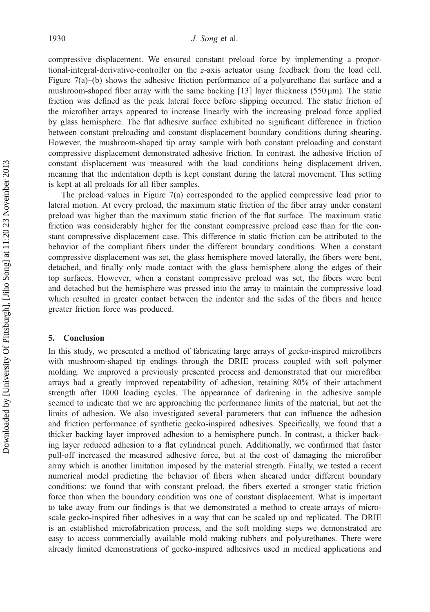compressive displacement. We ensured constant preload force by implementing a proportional-integral-derivative-controller on the z-axis actuator using feedback from the load cell. Figure 7(a)–(b) shows the adhesive friction performance of a polyurethane flat surface and a mushroom-shaped fiber array with the same backing [13] layer thickness  $(550 \,\mu m)$ . The static friction was defined as the peak lateral force before slipping occurred. The static friction of the microfiber arrays appeared to increase linearly with the increasing preload force applied by glass hemisphere. The flat adhesive surface exhibited no significant difference in friction between constant preloading and constant displacement boundary conditions during shearing. However, the mushroom-shaped tip array sample with both constant preloading and constant compressive displacement demonstrated adhesive friction. In contrast, the adhesive friction of constant displacement was measured with the load conditions being displacement driven, meaning that the indentation depth is kept constant during the lateral movement. This setting is kept at all preloads for all fiber samples.

The preload values in Figure 7(a) corresponded to the applied compressive load prior to lateral motion. At every preload, the maximum static friction of the fiber array under constant preload was higher than the maximum static friction of the flat surface. The maximum static friction was considerably higher for the constant compressive preload case than for the constant compressive displacement case. This difference in static friction can be attributed to the behavior of the compliant fibers under the different boundary conditions. When a constant compressive displacement was set, the glass hemisphere moved laterally, the fibers were bent, detached, and finally only made contact with the glass hemisphere along the edges of their top surfaces. However, when a constant compressive preload was set, the fibers were bent and detached but the hemisphere was pressed into the array to maintain the compressive load which resulted in greater contact between the indenter and the sides of the fibers and hence greater friction force was produced.

#### 5. Conclusion

In this study, we presented a method of fabricating large arrays of gecko-inspired microfibers with mushroom-shaped tip endings through the DRIE process coupled with soft polymer molding. We improved a previously presented process and demonstrated that our microfiber arrays had a greatly improved repeatability of adhesion, retaining 80% of their attachment strength after 1000 loading cycles. The appearance of darkening in the adhesive sample seemed to indicate that we are approaching the performance limits of the material, but not the limits of adhesion. We also investigated several parameters that can influence the adhesion and friction performance of synthetic gecko-inspired adhesives. Specifically, we found that a thicker backing layer improved adhesion to a hemisphere punch. In contrast, a thicker backing layer reduced adhesion to a flat cylindrical punch. Additionally, we confirmed that faster pull-off increased the measured adhesive force, but at the cost of damaging the microfiber array which is another limitation imposed by the material strength. Finally, we tested a recent numerical model predicting the behavior of fibers when sheared under different boundary conditions: we found that with constant preload, the fibers exerted a stronger static friction force than when the boundary condition was one of constant displacement. What is important to take away from our findings is that we demonstrated a method to create arrays of microscale gecko-inspired fiber adhesives in a way that can be scaled up and replicated. The DRIE is an established microfabrication process, and the soft molding steps we demonstrated are easy to access commercially available mold making rubbers and polyurethanes. There were already limited demonstrations of gecko-inspired adhesives used in medical applications and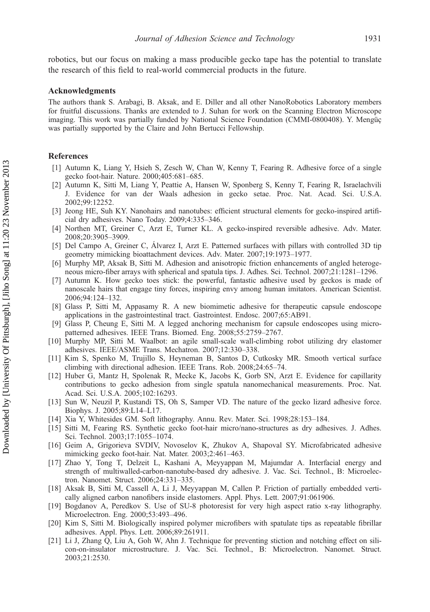robotics, but our focus on making a mass producible gecko tape has the potential to translate the research of this field to real-world commercial products in the future.

#### Acknowledgments

The authors thank S. Arabagi, B. Aksak, and E. Diller and all other NanoRobotics Laboratory members for fruitful discussions. Thanks are extended to J. Suhan for work on the Scanning Electron Microscope imaging. This work was partially funded by National Science Foundation (CMMI-0800408). Y. Mengüç was partially supported by the Claire and John Bertucci Fellowship.

#### References

- [1] Autumn K, Liang Y, Hsieh S, Zesch W, Chan W, Kenny T, Fearing R. Adhesive force of a single gecko foot-hair. Nature. 2000;405:681–685.
- [2] Autumn K, Sitti M, Liang Y, Peattie A, Hansen W, Sponberg S, Kenny T, Fearing R, Israelachvili J. Evidence for van der Waals adhesion in gecko setae. Proc. Nat. Acad. Sci. U.S.A. 2002;99:12252.
- [3] Jeong HE, Suh KY. Nanohairs and nanotubes: efficient structural elements for gecko-inspired artificial dry adhesives. Nano Today. 2009;4:335–346.
- [4] Northen MT, Greiner C, Arzt E, Turner KL. A gecko-inspired reversible adhesive. Adv. Mater. 2008;20:3905–3909.
- [5] Del Campo A, Greiner C, Álvarez I, Arzt E. Patterned surfaces with pillars with controlled 3D tip geometry mimicking bioattachment devices. Adv. Mater. 2007;19:1973–1977.
- [6] Murphy MP, Aksak B, Sitti M. Adhesion and anisotropic friction enhancements of angled heterogeneous micro-fiber arrays with spherical and spatula tips. J. Adhes. Sci. Technol. 2007;21:1281–1296.
- [7] Autumn K. How gecko toes stick: the powerful, fantastic adhesive used by geckos is made of nanoscale hairs that engage tiny forces, inspiring envy among human imitators. American Scientist. 2006;94:124–132.
- [8] Glass P, Sitti M, Appasamy R. A new biomimetic adhesive for therapeutic capsule endoscope applications in the gastrointestinal tract. Gastrointest. Endosc. 2007;65:AB91.
- [9] Glass P, Cheung E, Sitti M. A legged anchoring mechanism for capsule endoscopes using micropatterned adhesives. IEEE Trans. Biomed. Eng. 2008;55:2759–2767.
- [10] Murphy MP, Sitti M. Waalbot: an agile small-scale wall-climbing robot utilizing dry elastomer adhesives. IEEE/ASME Trans. Mechatron. 2007;12:330–338.
- [11] Kim S, Spenko M, Trujillo S, Heyneman B, Santos D, Cutkosky MR. Smooth vertical surface climbing with directional adhesion. IEEE Trans. Rob. 2008;24:65–74.
- [12] Huber G, Mantz H, Spolenak R, Mecke K, Jacobs K, Gorb SN, Arzt E. Evidence for capillarity contributions to gecko adhesion from single spatula nanomechanical measurements. Proc. Nat. Acad. Sci. U.S.A. 2005;102:16293.
- [13] Sun W, Neuzil P, Kustandi TS, Oh S, Samper VD. The nature of the gecko lizard adhesive force. Biophys. J. 2005;89:L14–L17.
- [14] Xia Y, Whitesides GM. Soft lithography. Annu. Rev. Mater. Sci. 1998;28:153–184.
- [15] Sitti M, Fearing RS. Synthetic gecko foot-hair micro/nano-structures as dry adhesives. J. Adhes. Sci. Technol. 2003;17:1055–1074.
- [16] Geim A, Grigorieva SVDIV, Novoselov K, Zhukov A, Shapoval SY. Microfabricated adhesive mimicking gecko foot-hair. Nat. Mater. 2003;2:461–463.
- [17] Zhao Y, Tong T, Delzeit L, Kashani A, Meyyappan M, Majumdar A. Interfacial energy and strength of multiwalled-carbon-nanotube-based dry adhesive. J. Vac. Sci. Technol., B: Microelectron. Nanomet. Struct. 2006;24:331–335.
- [18] Aksak B, Sitti M, Cassell A, Li J, Meyyappan M, Callen P. Friction of partially embedded vertically aligned carbon nanofibers inside elastomers. Appl. Phys. Lett. 2007;91:061906.
- [19] Bogdanov A, Peredkov S. Use of SU-8 photoresist for very high aspect ratio x-ray lithography. Microelectron. Eng. 2000;53:493–496.
- [20] Kim S, Sitti M. Biologically inspired polymer microfibers with spatulate tips as repeatable fibrillar adhesives. Appl. Phys. Lett. 2006;89:261911.
- [21] Li J, Zhang Q, Liu A, Goh W, Ahn J. Technique for preventing stiction and notching effect on silicon-on-insulator microstructure. J. Vac. Sci. Technol., B: Microelectron. Nanomet. Struct. 2003;21:2530.